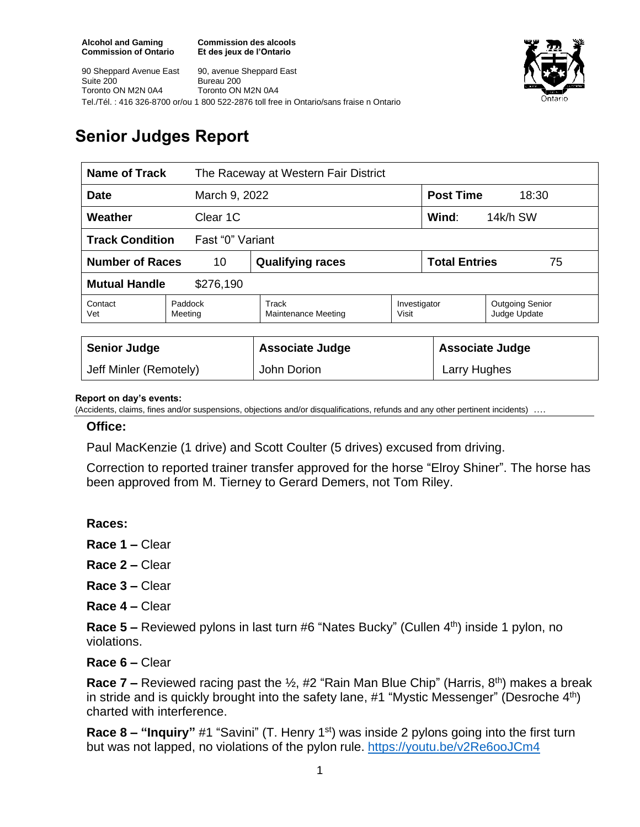**Commission des alcools Et des jeux de l'Ontario**



90 Sheppard Avenue East Suite 200 Toronto ON M2N 0A4 90, avenue Sheppard East Bureau 200 Toronto ON M2N 0A4 Tel./Tél. : 416 326-8700 or/ou 1 800 522-2876 toll free in Ontario/sans fraise n Ontario

# **Senior Judges Report**

| Name of Track                              |                    | The Raceway at Western Fair District |                       |                            |                                        |
|--------------------------------------------|--------------------|--------------------------------------|-----------------------|----------------------------|----------------------------------------|
| March 9, 2022<br><b>Date</b>               |                    |                                      |                       | <b>Post Time</b><br>18:30  |                                        |
| Weather<br>Clear 1C                        |                    |                                      |                       | Wind:<br>14k/h SW          |                                        |
| <b>Track Condition</b><br>Fast "0" Variant |                    |                                      |                       |                            |                                        |
| <b>Number of Races</b><br>10               |                    | <b>Qualifying races</b>              |                       | <b>Total Entries</b><br>75 |                                        |
| <b>Mutual Handle</b><br>\$276,190          |                    |                                      |                       |                            |                                        |
| Contact<br>Vet                             | Paddock<br>Meeting | Track<br><b>Maintenance Meeting</b>  | Investigator<br>Visit |                            | <b>Outgoing Senior</b><br>Judge Update |
|                                            |                    |                                      |                       |                            |                                        |
| <b>Senior Judge</b>                        |                    | <b>Associate Judge</b>               |                       | <b>Associate Judge</b>     |                                        |
| Jeff Minler (Remotely)                     |                    | John Dorion                          |                       | Larry Hughes               |                                        |

#### **Report on day's events:**

(Accidents, claims, fines and/or suspensions, objections and/or disqualifications, refunds and any other pertinent incidents) ….

#### **Office:**

Paul MacKenzie (1 drive) and Scott Coulter (5 drives) excused from driving.

Correction to reported trainer transfer approved for the horse "Elroy Shiner". The horse has been approved from M. Tierney to Gerard Demers, not Tom Riley.

**Races:** 

**Race 1 –** Clear

**Race 2 –** Clear

**Race 3 –** Clear

**Race 4 –** Clear

Race 5 – Reviewed pylons in last turn #6 "Nates Bucky" (Cullen 4<sup>th</sup>) inside 1 pylon, no violations.

**Race 6 –** Clear

**Race 7 –** Reviewed racing past the 1/<sub>2</sub>, #2 "Rain Man Blue Chip" (Harris, 8<sup>th</sup>) makes a break in stride and is quickly brought into the safety lane,  $#1$  "Mystic Messenger" (Desroche  $4<sup>th</sup>$ ) charted with interference.

**Race 8 – "Inquiry"** #1 "Savini" (T. Henry 1<sup>st</sup>) was inside 2 pylons going into the first turn but was not lapped, no violations of the pylon rule. <https://youtu.be/v2Re6ooJCm4>